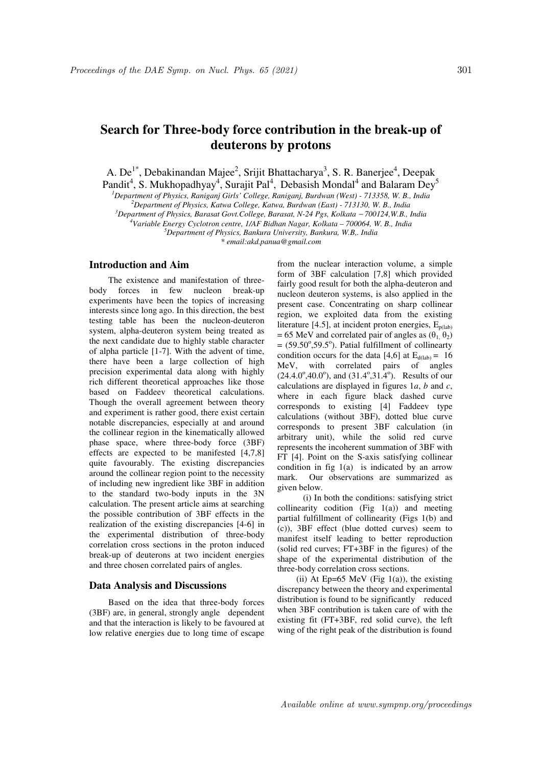# **Search for Three-body force contribution in the break-up of deuterons by protons**

A. De<sup>1\*</sup>, Debakinandan Majee<sup>2</sup>, Srijit Bhattacharya<sup>3</sup>, S. R. Banerjee<sup>4</sup>, Deepak

Pandit<sup>4</sup>, S. Mukhopadhyay<sup>4</sup>, Surajit Pal<sup>4</sup>, Debasish Mondal<sup>4</sup> and Balaram Dey<sup>5</sup> *<sup>1</sup>Department of Physics, Raniganj Girls' College, Raniganj, Burdwan (West) - 713358, W. B., India* 

*<sup>2</sup>Department of Physics, Katwa College, Katwa, Burdwan (East) - 713130, W. B., India* 

<sup>3</sup>*Department of Physics, Barasat Govt.College, Barasat, N-24 Pgs, Kolkata − 700124,W.B., India* 

*<sup>4</sup>Variable Energy Cyclotron centre, 1/AF Bidhan Nagar, Kolkata – 700064, W. B., India* 

*<sup>5</sup>Department of Physics, Bankura University, Bankura, W.B,. India* 

*\* email:akd.panua@gmail.com* 

### **Introduction and Aim**

The existence and manifestation of threebody forces in few nucleon break-up experiments have been the topics of increasing interests since long ago. In this direction, the best testing table has been the nucleon-deuteron system, alpha-deuteron system being treated as the next candidate due to highly stable character of alpha particle [1-7]. With the advent of time, there have been a large collection of high precision experimental data along with highly rich different theoretical approaches like those based on Faddeev theoretical calculations. Though the overall agreement between theory and experiment is rather good, there exist certain notable discrepancies, especially at and around the collinear region in the kinematically allowed phase space, where three-body force (3BF) effects are expected to be manifested [4,7,8] quite favourably. The existing discrepancies around the collinear region point to the necessity of including new ingredient like 3BF in addition to the standard two-body inputs in the 3N calculation. The present article aims at searching the possible contribution of 3BF effects in the realization of the existing discrepancies [4-6] in the experimental distribution of three-body correlation cross sections in the proton induced break-up of deuterons at two incident energies and three chosen correlated pairs of angles.

## **Data Analysis and Discussions**

Based on the idea that three-body forces (3BF) are, in general, strongly angle dependent and that the interaction is likely to be favoured at low relative energies due to long time of escape from the nuclear interaction volume, a simple form of 3BF calculation [7,8] which provided fairly good result for both the alpha-deuteron and nucleon deuteron systems, is also applied in the present case. Concentrating on sharp collinear region, we exploited data from the existing literature [4.5], at incident proton energies,  $E_{p(lab)}$  $= 65$  MeV and correlated pair of angles as  $(\theta_1, \theta_2)$  $=$  (59.50 $\degree$ ,59.5 $\degree$ ). Patial fulfillment of collinearty condition occurs for the data [4,6] at  $E_{d(lab)} = 16$ MeV, with correlated pairs of angles  $(24.4.0^{\circ}, 40.0^{\circ})$ , and  $(31.4^{\circ}, 31.4^{\circ})$ . Results of our calculations are displayed in figures 1*a*, *b* and *c*, where in each figure black dashed curve corresponds to existing [4] Faddeev type calculations (without 3BF), dotted blue curve corresponds to present 3BF calculation (in arbitrary unit), while the solid red curve represents the incoherent summation of 3BF with FT [4]. Point on the S-axis satisfying collinear condition in fig  $1(a)$  is indicated by an arrow mark. Our observations are summarized as given below.

 (i) In both the conditions: satisfying strict collinearity codition  $(Fig 1(a))$  and meeting partial fulfillment of collinearity (Figs 1(b) and (c)), 3BF effect (blue dotted curves) seem to manifest itself leading to better reproduction (solid red curves; FT+3BF in the figures) of the shape of the experimental distribution of the three-body correlation cross sections.

(ii) At Ep=65 MeV (Fig  $1(a)$ ), the existing discrepancy between the theory and experimental distribution is found to be significantly reduced when 3BF contribution is taken care of with the existing fit (FT+3BF, red solid curve), the left wing of the right peak of the distribution is found